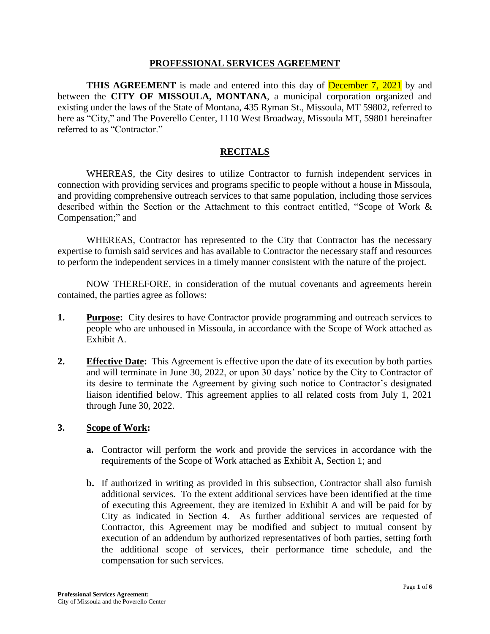#### **PROFESSIONAL SERVICES AGREEMENT**

**THIS AGREEMENT** is made and entered into this day of **December 7, 2021** by and between the **CITY OF MISSOULA, MONTANA**, a municipal corporation organized and existing under the laws of the State of Montana, 435 Ryman St., Missoula, MT 59802, referred to here as "City," and The Poverello Center, 1110 West Broadway, Missoula MT, 59801 hereinafter referred to as "Contractor"

### **RECITALS**

WHEREAS, the City desires to utilize Contractor to furnish independent services in connection with providing services and programs specific to people without a house in Missoula, and providing comprehensive outreach services to that same population, including those services described within the Section or the Attachment to this contract entitled, "Scope of Work & Compensation;" and

WHEREAS, Contractor has represented to the City that Contractor has the necessary expertise to furnish said services and has available to Contractor the necessary staff and resources to perform the independent services in a timely manner consistent with the nature of the project.

NOW THEREFORE, in consideration of the mutual covenants and agreements herein contained, the parties agree as follows:

- **1. Purpose:** City desires to have Contractor provide programming and outreach services to people who are unhoused in Missoula, in accordance with the Scope of Work attached as Exhibit A.
- **2. Effective Date:** This Agreement is effective upon the date of its execution by both parties and will terminate in June 30, 2022, or upon 30 days' notice by the City to Contractor of its desire to terminate the Agreement by giving such notice to Contractor's designated liaison identified below. This agreement applies to all related costs from July 1, 2021 through June 30, 2022.

#### **3. Scope of Work:**

- **a.** Contractor will perform the work and provide the services in accordance with the requirements of the Scope of Work attached as Exhibit A, Section 1; and
- **b.** If authorized in writing as provided in this subsection, Contractor shall also furnish additional services. To the extent additional services have been identified at the time of executing this Agreement, they are itemized in Exhibit A and will be paid for by City as indicated in Section 4. As further additional services are requested of Contractor, this Agreement may be modified and subject to mutual consent by execution of an addendum by authorized representatives of both parties, setting forth the additional scope of services, their performance time schedule, and the compensation for such services.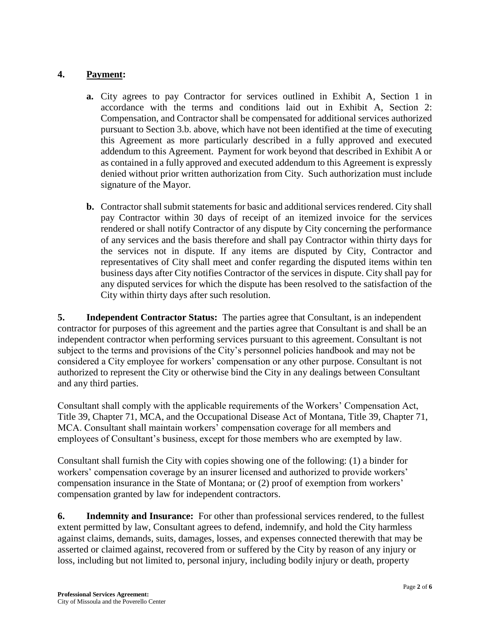### **4. Payment:**

- **a.** City agrees to pay Contractor for services outlined in Exhibit A, Section 1 in accordance with the terms and conditions laid out in Exhibit A, Section 2: Compensation, and Contractor shall be compensated for additional services authorized pursuant to Section 3.b. above, which have not been identified at the time of executing this Agreement as more particularly described in a fully approved and executed addendum to this Agreement. Payment for work beyond that described in Exhibit A or as contained in a fully approved and executed addendum to this Agreement is expressly denied without prior written authorization from City. Such authorization must include signature of the Mayor.
- **b.** Contractor shall submit statements for basic and additional services rendered. City shall pay Contractor within 30 days of receipt of an itemized invoice for the services rendered or shall notify Contractor of any dispute by City concerning the performance of any services and the basis therefore and shall pay Contractor within thirty days for the services not in dispute. If any items are disputed by City, Contractor and representatives of City shall meet and confer regarding the disputed items within ten business days after City notifies Contractor of the services in dispute. City shall pay for any disputed services for which the dispute has been resolved to the satisfaction of the City within thirty days after such resolution.

**5. Independent Contractor Status:** The parties agree that Consultant, is an independent contractor for purposes of this agreement and the parties agree that Consultant is and shall be an independent contractor when performing services pursuant to this agreement. Consultant is not subject to the terms and provisions of the City's personnel policies handbook and may not be considered a City employee for workers' compensation or any other purpose. Consultant is not authorized to represent the City or otherwise bind the City in any dealings between Consultant and any third parties.

Consultant shall comply with the applicable requirements of the Workers' Compensation Act, Title 39, Chapter 71, MCA, and the Occupational Disease Act of Montana, Title 39, Chapter 71, MCA. Consultant shall maintain workers' compensation coverage for all members and employees of Consultant's business, except for those members who are exempted by law.

Consultant shall furnish the City with copies showing one of the following: (1) a binder for workers' compensation coverage by an insurer licensed and authorized to provide workers' compensation insurance in the State of Montana; or (2) proof of exemption from workers' compensation granted by law for independent contractors.

**6. Indemnity and Insurance:** For other than professional services rendered, to the fullest extent permitted by law, Consultant agrees to defend, indemnify, and hold the City harmless against claims, demands, suits, damages, losses, and expenses connected therewith that may be asserted or claimed against, recovered from or suffered by the City by reason of any injury or loss, including but not limited to, personal injury, including bodily injury or death, property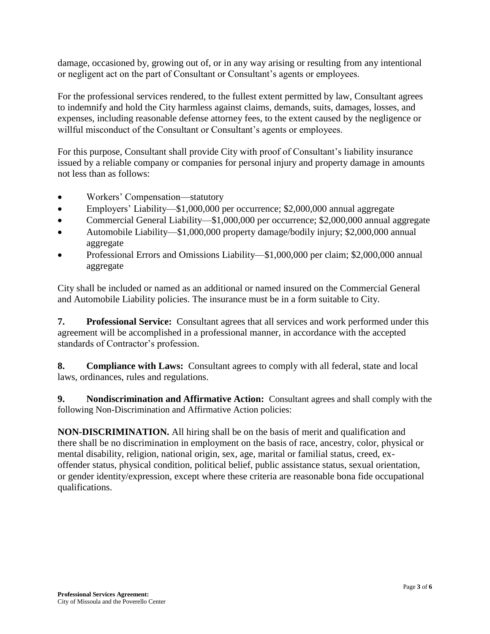damage, occasioned by, growing out of, or in any way arising or resulting from any intentional or negligent act on the part of Consultant or Consultant's agents or employees.

For the professional services rendered, to the fullest extent permitted by law, Consultant agrees to indemnify and hold the City harmless against claims, demands, suits, damages, losses, and expenses, including reasonable defense attorney fees, to the extent caused by the negligence or willful misconduct of the Consultant or Consultant's agents or employees.

For this purpose, Consultant shall provide City with proof of Consultant's liability insurance issued by a reliable company or companies for personal injury and property damage in amounts not less than as follows:

- Workers' Compensation—statutory
- Employers' Liability—\$1,000,000 per occurrence; \$2,000,000 annual aggregate
- Commercial General Liability—\$1,000,000 per occurrence; \$2,000,000 annual aggregate
- Automobile Liability—\$1,000,000 property damage/bodily injury; \$2,000,000 annual aggregate
- Professional Errors and Omissions Liability—\$1,000,000 per claim; \$2,000,000 annual aggregate

City shall be included or named as an additional or named insured on the Commercial General and Automobile Liability policies. The insurance must be in a form suitable to City.

**7. Professional Service:** Consultant agrees that all services and work performed under this agreement will be accomplished in a professional manner, in accordance with the accepted standards of Contractor's profession.

**8. Compliance with Laws:** Consultant agrees to comply with all federal, state and local laws, ordinances, rules and regulations.

**9. Nondiscrimination and Affirmative Action:** Consultant agrees and shall comply with the following Non-Discrimination and Affirmative Action policies:

**NON-DISCRIMINATION.** All hiring shall be on the basis of merit and qualification and there shall be no discrimination in employment on the basis of race, ancestry, color, physical or mental disability, religion, national origin, sex, age, marital or familial status, creed, exoffender status, physical condition, political belief, public assistance status, sexual orientation, or gender identity/expression, except where these criteria are reasonable bona fide occupational qualifications.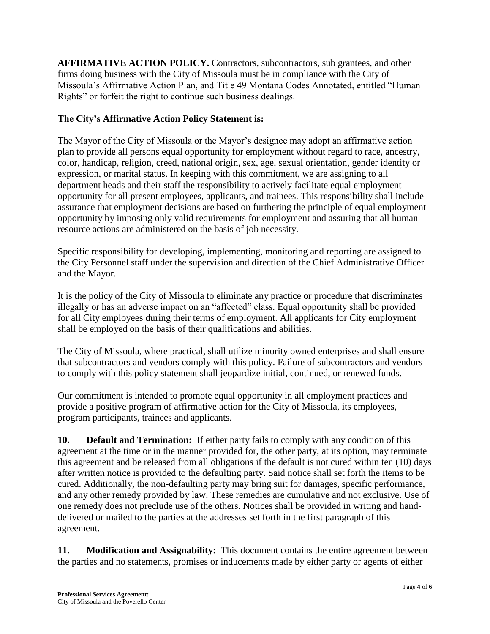**AFFIRMATIVE ACTION POLICY.** Contractors, subcontractors, sub grantees, and other firms doing business with the City of Missoula must be in compliance with the City of Missoula's Affirmative Action Plan, and Title 49 Montana Codes Annotated, entitled "Human Rights" or forfeit the right to continue such business dealings.

# **The City's Affirmative Action Policy Statement is:**

The Mayor of the City of Missoula or the Mayor's designee may adopt an affirmative action plan to provide all persons equal opportunity for employment without regard to race, ancestry, color, handicap, religion, creed, national origin, sex, age, sexual orientation, gender identity or expression, or marital status. In keeping with this commitment, we are assigning to all department heads and their staff the responsibility to actively facilitate equal employment opportunity for all present employees, applicants, and trainees. This responsibility shall include assurance that employment decisions are based on furthering the principle of equal employment opportunity by imposing only valid requirements for employment and assuring that all human resource actions are administered on the basis of job necessity.

Specific responsibility for developing, implementing, monitoring and reporting are assigned to the City Personnel staff under the supervision and direction of the Chief Administrative Officer and the Mayor.

It is the policy of the City of Missoula to eliminate any practice or procedure that discriminates illegally or has an adverse impact on an "affected" class. Equal opportunity shall be provided for all City employees during their terms of employment. All applicants for City employment shall be employed on the basis of their qualifications and abilities.

The City of Missoula, where practical, shall utilize minority owned enterprises and shall ensure that subcontractors and vendors comply with this policy. Failure of subcontractors and vendors to comply with this policy statement shall jeopardize initial, continued, or renewed funds.

Our commitment is intended to promote equal opportunity in all employment practices and provide a positive program of affirmative action for the City of Missoula, its employees, program participants, trainees and applicants.

**10. Default and Termination:** If either party fails to comply with any condition of this agreement at the time or in the manner provided for, the other party, at its option, may terminate this agreement and be released from all obligations if the default is not cured within ten (10) days after written notice is provided to the defaulting party. Said notice shall set forth the items to be cured. Additionally, the non-defaulting party may bring suit for damages, specific performance, and any other remedy provided by law. These remedies are cumulative and not exclusive. Use of one remedy does not preclude use of the others. Notices shall be provided in writing and handdelivered or mailed to the parties at the addresses set forth in the first paragraph of this agreement.

**11. Modification and Assignability:** This document contains the entire agreement between the parties and no statements, promises or inducements made by either party or agents of either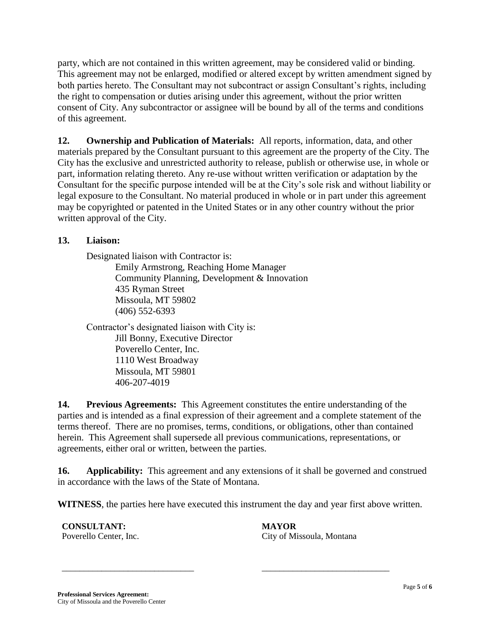party, which are not contained in this written agreement, may be considered valid or binding. This agreement may not be enlarged, modified or altered except by written amendment signed by both parties hereto. The Consultant may not subcontract or assign Consultant's rights, including the right to compensation or duties arising under this agreement, without the prior written consent of City. Any subcontractor or assignee will be bound by all of the terms and conditions of this agreement.

**12. Ownership and Publication of Materials:** All reports, information, data, and other materials prepared by the Consultant pursuant to this agreement are the property of the City. The City has the exclusive and unrestricted authority to release, publish or otherwise use, in whole or part, information relating thereto. Any re-use without written verification or adaptation by the Consultant for the specific purpose intended will be at the City's sole risk and without liability or legal exposure to the Consultant. No material produced in whole or in part under this agreement may be copyrighted or patented in the United States or in any other country without the prior written approval of the City.

## **13. Liaison:**

Designated liaison with Contractor is: Emily Armstrong, Reaching Home Manager Community Planning, Development & Innovation 435 Ryman Street Missoula, MT 59802 (406) 552-6393

Contractor's designated liaison with City is: Jill Bonny, Executive Director Poverello Center, Inc. 1110 West Broadway Missoula, MT 59801 406-207-4019

**14. Previous Agreements:** This Agreement constitutes the entire understanding of the parties and is intended as a final expression of their agreement and a complete statement of the terms thereof. There are no promises, terms, conditions, or obligations, other than contained herein. This Agreement shall supersede all previous communications, representations, or agreements, either oral or written, between the parties.

**16.** Applicability: This agreement and any extensions of it shall be governed and construed in accordance with the laws of the State of Montana.

**WITNESS**, the parties here have executed this instrument the day and year first above written.

\_\_\_\_\_\_\_\_\_\_\_\_\_\_\_\_\_\_\_\_\_\_\_\_\_\_\_\_\_\_ \_\_\_\_\_\_\_\_\_\_\_\_\_\_\_\_\_\_\_\_\_\_\_\_\_\_\_\_\_

**CONSULTANT: MAYOR**

Poverello Center, Inc. City of Missoula, Montana